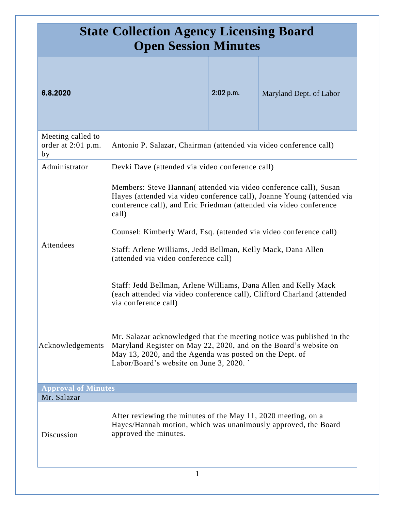| <b>State Collection Agency Licensing Board</b><br><b>Open Session Minutes</b> |                                                                                                                                                                                                                                                |                                                                                                                                                                                                                                                                                                                                                                                               |                         |
|-------------------------------------------------------------------------------|------------------------------------------------------------------------------------------------------------------------------------------------------------------------------------------------------------------------------------------------|-----------------------------------------------------------------------------------------------------------------------------------------------------------------------------------------------------------------------------------------------------------------------------------------------------------------------------------------------------------------------------------------------|-------------------------|
| 6.8.2020                                                                      |                                                                                                                                                                                                                                                | 2:02 p.m.                                                                                                                                                                                                                                                                                                                                                                                     | Maryland Dept. of Labor |
| Meeting called to<br>order at 2:01 p.m.<br>by                                 | Antonio P. Salazar, Chairman (attended via video conference call)                                                                                                                                                                              |                                                                                                                                                                                                                                                                                                                                                                                               |                         |
| Administrator                                                                 | Devki Dave (attended via video conference call)                                                                                                                                                                                                |                                                                                                                                                                                                                                                                                                                                                                                               |                         |
| Attendees                                                                     | call)                                                                                                                                                                                                                                          | Members: Steve Hannan(attended via video conference call), Susan<br>Hayes (attended via video conference call), Joanne Young (attended via<br>conference call), and Eric Friedman (attended via video conference<br>Counsel: Kimberly Ward, Esq. (attended via video conference call)<br>Staff: Arlene Williams, Jedd Bellman, Kelly Mack, Dana Allen<br>(attended via video conference call) |                         |
|                                                                               | Staff: Jedd Bellman, Arlene Williams, Dana Allen and Kelly Mack<br>(each attended via video conference call), Clifford Charland (attended<br>via conference call)                                                                              |                                                                                                                                                                                                                                                                                                                                                                                               |                         |
| Acknowledgements                                                              | Mr. Salazar acknowledged that the meeting notice was published in the<br>Maryland Register on May 22, 2020, and on the Board's website on<br>May 13, 2020, and the Agenda was posted on the Dept. of<br>Labor/Board's website on June 3, 2020. |                                                                                                                                                                                                                                                                                                                                                                                               |                         |
| <b>Approval of Minutes</b>                                                    |                                                                                                                                                                                                                                                |                                                                                                                                                                                                                                                                                                                                                                                               |                         |
| Mr. Salazar                                                                   |                                                                                                                                                                                                                                                |                                                                                                                                                                                                                                                                                                                                                                                               |                         |
| Discussion                                                                    | After reviewing the minutes of the May 11, 2020 meeting, on a<br>Hayes/Hannah motion, which was unanimously approved, the Board<br>approved the minutes.                                                                                       |                                                                                                                                                                                                                                                                                                                                                                                               |                         |
| 1                                                                             |                                                                                                                                                                                                                                                |                                                                                                                                                                                                                                                                                                                                                                                               |                         |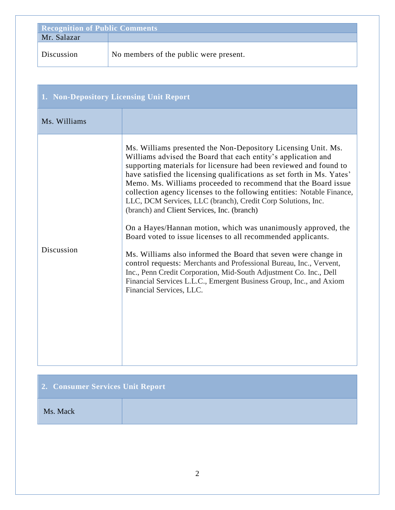| <b>Recognition of Public Comments</b> |                                        |
|---------------------------------------|----------------------------------------|
| Mr. Salazar                           |                                        |
| Discussion                            | No members of the public were present. |

| 1. Non-Depository Licensing Unit Report |                                                                                                                                                                                                                                                                                                                                                                                                                                                                                                                                                                                                                                                                                                                                                                                                                                                                                                                                                                                             |
|-----------------------------------------|---------------------------------------------------------------------------------------------------------------------------------------------------------------------------------------------------------------------------------------------------------------------------------------------------------------------------------------------------------------------------------------------------------------------------------------------------------------------------------------------------------------------------------------------------------------------------------------------------------------------------------------------------------------------------------------------------------------------------------------------------------------------------------------------------------------------------------------------------------------------------------------------------------------------------------------------------------------------------------------------|
| Ms. Williams                            |                                                                                                                                                                                                                                                                                                                                                                                                                                                                                                                                                                                                                                                                                                                                                                                                                                                                                                                                                                                             |
| Discussion                              | Ms. Williams presented the Non-Depository Licensing Unit. Ms.<br>Williams advised the Board that each entity's application and<br>supporting materials for licensure had been reviewed and found to<br>have satisfied the licensing qualifications as set forth in Ms. Yates'<br>Memo. Ms. Williams proceeded to recommend that the Board issue<br>collection agency licenses to the following entities: Notable Finance,<br>LLC, DCM Services, LLC (branch), Credit Corp Solutions, Inc.<br>(branch) and Client Services, Inc. (branch)<br>On a Hayes/Hannan motion, which was unanimously approved, the<br>Board voted to issue licenses to all recommended applicants.<br>Ms. Williams also informed the Board that seven were change in<br>control requests: Merchants and Professional Bureau, Inc., Vervent,<br>Inc., Penn Credit Corporation, Mid-South Adjustment Co. Inc., Dell<br>Financial Services L.L.C., Emergent Business Group, Inc., and Axiom<br>Financial Services, LLC. |

| 2. Consumer Services Unit Report |  |
|----------------------------------|--|
| Ms. Mack                         |  |